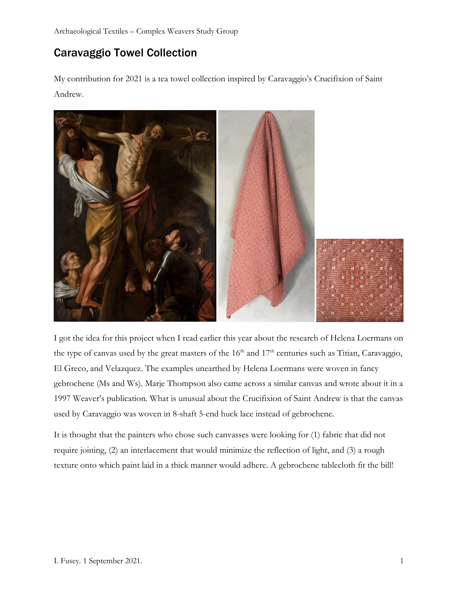# Caravaggio Towel Collection

My contribution for 2021 is a tea towel collection inspired by Caravaggio's Crucifixion of Saint Andrew.



I got the idea for this project when I read earlier this year about the research of Helena Loermans on the type of canvas used by the great masters of the  $16<sup>th</sup>$  and  $17<sup>th</sup>$  centuries such as Titian, Caravaggio, El Greco, and Velazquez. The examples unearthed by Helena Loermans were woven in fancy gebrochene (Ms and Ws). Marje Thompson also came across a similar canvas and wrote about it in a 1997 Weaver's publication. What is unusual about the Crucifixion of Saint Andrew is that the canvas used by Caravaggio was woven in 8-shaft 5-end huck lace instead of gebrochene.

It is thought that the painters who chose such canvasses were looking for (1) fabric that did not require joining, (2) an interlacement that would minimize the reflection of light, and (3) a rough texture onto which paint laid in a thick manner would adhere. A gebrochene tablecloth fit the bill!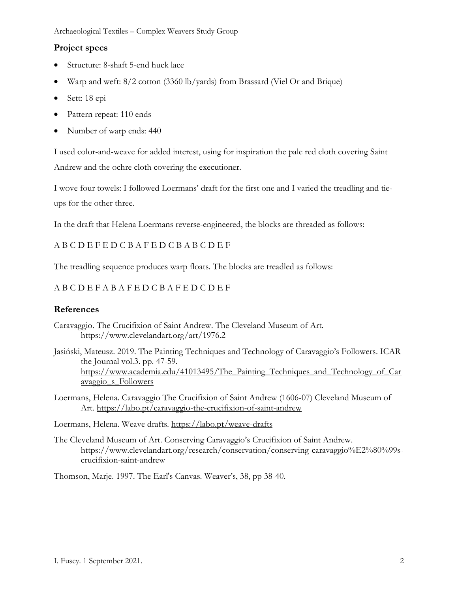## **Project specs**

- Structure: 8-shaft 5-end huck lace
- Warp and weft: 8/2 cotton (3360 lb/yards) from Brassard (Viel Or and Brique)
- Sett: 18 epi
- Pattern repeat: 110 ends
- Number of warp ends: 440

I used color-and-weave for added interest, using for inspiration the pale red cloth covering Saint Andrew and the ochre cloth covering the executioner.

I wove four towels: I followed Loermans' draft for the first one and I varied the treadling and tieups for the other three.

In the draft that Helena Loermans reverse-engineered, the blocks are threaded as follows:

## A B C D E F E D C B A F E D C B A B C D E F

The treadling sequence produces warp floats. The blocks are treadled as follows:

## A B C D E F A B A F E D C B A F E D C D E F

## **References**

- Caravaggio. The Crucifixion of Saint Andrew. The Cleveland Museum of Art. https://www.clevelandart.org/art/1976.2
- Jasiński, Mateusz. 2019. The Painting Techniques and Technology of Caravaggio's Followers. ICAR the Journal vol.3. pp. 47-59. https://www.academia.edu/41013495/The Painting Techniques and Technology of Car [avaggio\\_s\\_Followers](https://www.academia.edu/41013495/The_Painting_Techniques_and_Technology_of_Caravaggio_s_Followers)
- Loermans, Helena. Caravaggio The Crucifixion of Saint Andrew (1606-07) Cleveland Museum of Art. <https://labo.pt/caravaggio-the-crucifixion-of-saint-andrew>

Loermans, Helena. Weave drafts.<https://labo.pt/weave-drafts>

The Cleveland Museum of Art. Conserving Caravaggio's Crucifixion of Saint Andrew. https://www.clevelandart.org/research/conservation/conserving-caravaggio%E2%80%99scrucifixion-saint-andrew

Thomson, Marje. 1997. The Earl's Canvas. Weaver's, 38, pp 38-40.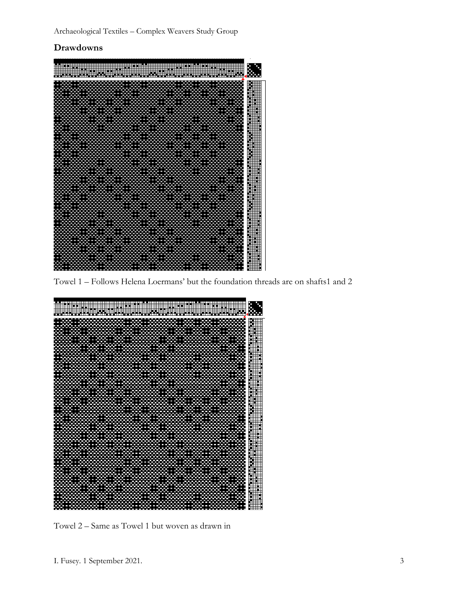## **Drawdowns**



Towel 1 – Follows Helena Loermans' but the foundation threads are on shafts1 and 2



Towel 2 – Same as Towel 1 but woven as drawn in